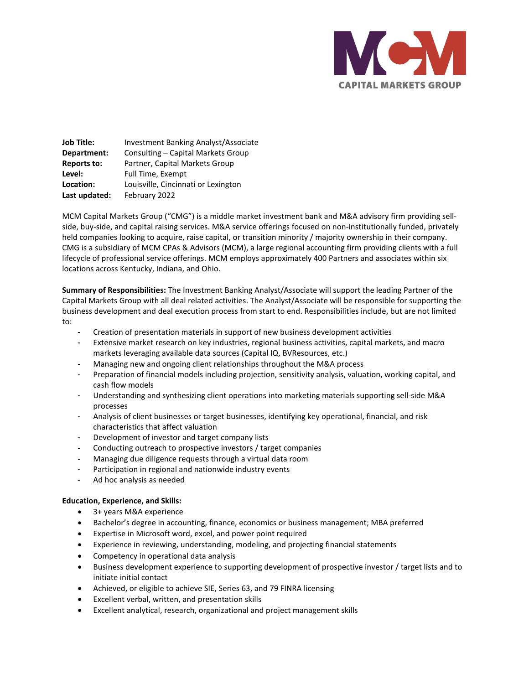

**Job Title:** Investment Banking Analyst/Associate **Department:** Consulting – Capital Markets Group **Reports to:** Partner, Capital Markets Group Level: Full Time, Exempt **Location:** Louisville, Cincinnati or Lexington **Last updated:** February 2022

MCM Capital Markets Group ("CMG") is a middle market investment bank and M&A advisory firm providing sellside, buy-side, and capital raising services. M&A service offerings focused on non-institutionally funded, privately held companies looking to acquire, raise capital, or transition minority / majority ownership in their company. CMG is a subsidiary of MCM CPAs & Advisors (MCM), a large regional accounting firm providing clients with a full lifecycle of professional service offerings. MCM employs approximately 400 Partners and associates within six locations across Kentucky, Indiana, and Ohio.

**Summary of Responsibilities:** The Investment Banking Analyst/Associate will support the leading Partner of the Capital Markets Group with all deal related activities. The Analyst/Associate will be responsible for supporting the business development and deal execution process from start to end. Responsibilities include, but are not limited to:

- Creation of presentation materials in support of new business development activities
- Extensive market research on key industries, regional business activities, capital markets, and macro markets leveraging available data sources (Capital IQ, BVResources, etc.)
- Managing new and ongoing client relationships throughout the M&A process
- Preparation of financial models including projection, sensitivity analysis, valuation, working capital, and cash flow models
- Understanding and synthesizing client operations into marketing materials supporting sell-side M&A processes
- Analysis of client businesses or target businesses, identifying key operational, financial, and risk characteristics that affect valuation
- Development of investor and target company lists
- Conducting outreach to prospective investors / target companies
- Managing due diligence requests through a virtual data room
- Participation in regional and nationwide industry events
- Ad hoc analysis as needed

## **Education, Experience, and Skills:**

- 3+ years M&A experience
- Bachelor's degree in accounting, finance, economics or business management; MBA preferred
- Expertise in Microsoft word, excel, and power point required
- Experience in reviewing, understanding, modeling, and projecting financial statements
- Competency in operational data analysis
- Business development experience to supporting development of prospective investor / target lists and to initiate initial contact
- Achieved, or eligible to achieve SIE, Series 63, and 79 FINRA licensing
- Excellent verbal, written, and presentation skills
- Excellent analytical, research, organizational and project management skills